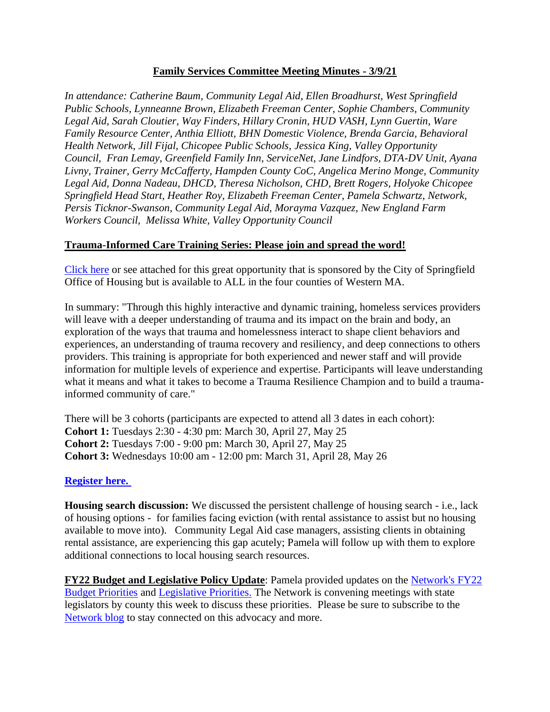## **Family Services Committee Meeting Minutes - 3/9/21**

*In attendance: Catherine Baum, Community Legal Aid, Ellen Broadhurst, West Springfield Public Schools, Lynneanne Brown, Elizabeth Freeman Center, Sophie Chambers, Community Legal Aid, Sarah Cloutier, Way Finders, Hillary Cronin, HUD VASH, Lynn Guertin, Ware Family Resource Center, Anthia Elliott, BHN Domestic Violence, Brenda Garcia, Behavioral Health Network, Jill Fijal, Chicopee Public Schools, Jessica King, Valley Opportunity Council, Fran Lemay, Greenfield Family Inn, ServiceNet, Jane Lindfors, DTA-DV Unit, Ayana Livny, Trainer, Gerry McCafferty, Hampden County CoC, Angelica Merino Monge, Community Legal Aid, Donna Nadeau, DHCD, Theresa Nicholson, CHD, Brett Rogers, Holyoke Chicopee Springfield Head Start, Heather Roy, Elizabeth Freeman Center, Pamela Schwartz, Network, Persis Ticknor-Swanson, Community Legal Aid, Morayma Vazquez, New England Farm Workers Council, Melissa White, Valley Opportunity Council*

## **Trauma-Informed Care Training Series: Please join and spread the word!**

[Click here](https://www.westernmasshousingfirst.org/wp-admin/post.php?post=14570&action=edit) or see attached for this great opportunity that is sponsored by the City of Springfield Office of Housing but is available to ALL in the four counties of Western MA.

In summary: "Through this highly interactive and dynamic training, homeless services providers will leave with a deeper understanding of trauma and its impact on the brain and body, an exploration of the ways that trauma and homelessness interact to shape client behaviors and experiences, an understanding of trauma recovery and resiliency, and deep connections to others providers. This training is appropriate for both experienced and newer staff and will provide information for multiple levels of experience and expertise. Participants will leave understanding what it means and what it takes to become a Trauma Resilience Champion and to build a traumainformed community of care."

There will be 3 cohorts (participants are expected to attend all 3 dates in each cohort): **Cohort 1:** Tuesdays 2:30 - 4:30 pm: March 30, April 27, May 25 **Cohort 2:** Tuesdays 7:00 - 9:00 pm: March 30, April 27, May 25 **Cohort 3:** Wednesdays 10:00 am - 12:00 pm: March 31, April 28, May 26

## **[Register here.](https://docs.google.com/forms/d/e/1FAIpQLSd6GXxZlKC8pANLOuNPyvsFEqXWLh66IHqIwlhVmS99Hg2MZQ/viewform)**

**Housing search discussion:** We discussed the persistent challenge of housing search - i.e., lack of housing options - for families facing eviction (with rental assistance to assist but no housing available to move into). Community Legal Aid case managers, assisting clients in obtaining rental assistance, are experiencing this gap acutely; Pamela will follow up with them to explore additional connections to local housing search resources.

**FY22 Budget and Legislative Policy Update**: Pamela provided updates on the [Network's FY22](https://www.westernmasshousingfirst.org/wp-content/uploads/2021/03/WMNEH-FY22-Budget-Priorities-March-2021-1.pdf)  [Budget Priorities](https://www.westernmasshousingfirst.org/wp-content/uploads/2021/03/WMNEH-FY22-Budget-Priorities-March-2021-1.pdf) and [Legislative Priorities.](https://www.westernmasshousingfirst.org/wp-content/uploads/2021/03/WMNEH-Bill-Priorities-2021-2022.pdf) The Network is convening meetings with state legislators by county this week to discuss these priorities. Please be sure to subscribe to the [Network blog](https://www.westernmasshousingfirst.org/blog/) to stay connected on this advocacy and more.